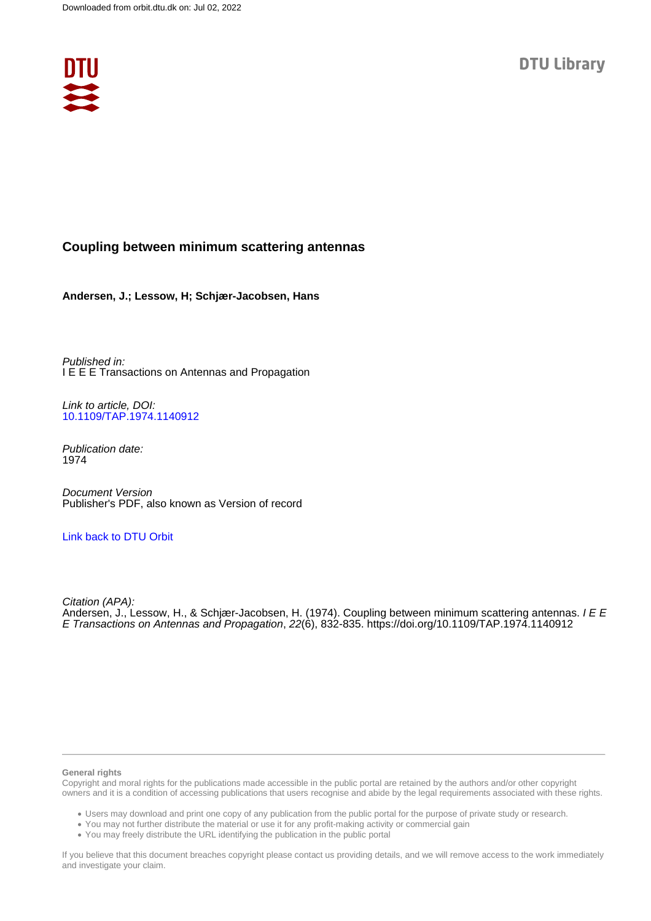

# **Coupling between minimum scattering antennas**

**Andersen, J.; Lessow, H; Schjær-Jacobsen, Hans**

Published in: I E E E Transactions on Antennas and Propagation

Link to article, DOI: [10.1109/TAP.1974.1140912](https://doi.org/10.1109/TAP.1974.1140912)

Publication date: 1974

Document Version Publisher's PDF, also known as Version of record

# [Link back to DTU Orbit](https://orbit.dtu.dk/en/publications/9362bd6f-528a-46aa-b89b-c0e1a9d7fe5c)

Citation (APA): Andersen, J., Lessow, H., & Schjær-Jacobsen, H. (1974). Coupling between minimum scattering antennas. I E E E Transactions on Antennas and Propagation, 22(6), 832-835.<https://doi.org/10.1109/TAP.1974.1140912>

## **General rights**

Copyright and moral rights for the publications made accessible in the public portal are retained by the authors and/or other copyright owners and it is a condition of accessing publications that users recognise and abide by the legal requirements associated with these rights.

Users may download and print one copy of any publication from the public portal for the purpose of private study or research.

- You may not further distribute the material or use it for any profit-making activity or commercial gain
- You may freely distribute the URL identifying the publication in the public portal

If you believe that this document breaches copyright please contact us providing details, and we will remove access to the work immediately and investigate your claim.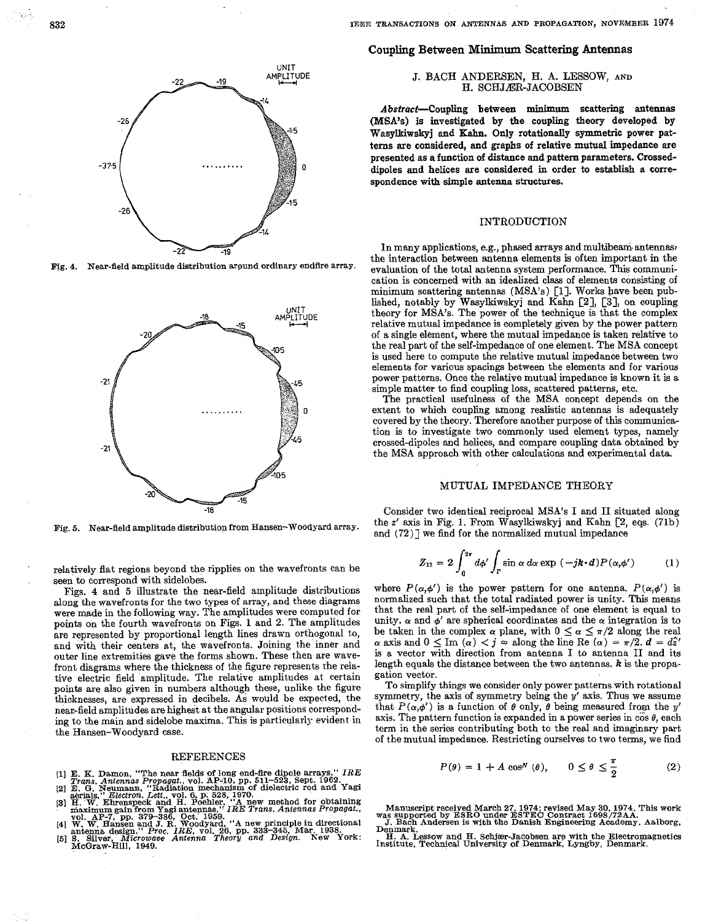**I** ,

UNIT AMPLITUDE  $-26$  $-26$ 

Fig. 4. Near-field amplitude distribution around ordinary endfire array.



Fig. 5. Near-field amplitude distribution from Hansen-Woodyard array.

. relatively flat regions beyond the ripplies on the wavefronts can be . seen to correspond with sidelobes.

Figs. **4** and **5** illustrate the near-field amplitude distributions along the wavefronts for the two types of array, and these diagrams were made in the folloving way. The amplitudes were computed for points on the fourth wavefronts on Figs. 1 and 2. The amplitudes are represented by proportional length lines dram orthogonal to, and with their centers at, the wavefronts. Joining the inner and outer line extremities gave the forms shown. These then are wavefront diagrams where the thickness of the figure represents the relative electric field amplitude. The relative amplitudes at certain points are also given in numbers although these, unlike the figure thicknesses, are expressed in decibels. As would be expected, the near-field amplitudes are highest at the angular positions corresponding to the main and sidelobe maxima. This is particularly evident in the Hansen-Woodyard case.

### REFERENCES

- **E. K. Damon, "The near fields of long end-fire dipole arrays,"** *IRE**Trans. Antennas Propagat..* **vol. AP-10, pp. 511–523, Sept. 1962.**
- aerlals *Electron'* Lett vol. **6** pi **528, 1970.**  E. *,G.* **Neumann** Radiation mechanism **of** dielectkc rod and Yagi
- aerials,<sup>*i*</sup> *Electron. Lett.,* vol. 6, p. 528, 1970.<br>H. W. Ehrenspeck and H. Poehler, 'A new method for obtaining<br>maximum gain from Yagi antennas,' *IRE Trans. Antennas Propagat.*, **vol AP-7** pp **379-386** Oct' **1959**
- 
- W. W. Hansen and J. R. Woodyard, "A new principle in directional antenna design," Proc. IRE, vol. 26, pp. 333–345, Mar. 1938.<br>S. Sliver, Microsoft. Proc. IRE, vol. 26, pp. 333–345, Mar. 1938.<br>S. Sliver, Microsoft. Antenna

**832 ~EE TRANSACTIONS ON ANTENNAS** *AND* **PROPAGATIOK,** NOVEMBER 1974

## **Coupling Between** Minimum **Scattering Antennas**

### J. BACH ANDERSEN, H. A. LESSOW, AND H. SCHJÆR-JACOBSEN

Abstract-Coupling between minimum scattering antennas **(MSA's)** is investigated **by the** coupling theory developed by Wasylkiwskyj and Kahn. **Only** rotationally symmetric power patterns are considered, and graphs **of** relative **mutual** impedance are presented as *a* function **of** distance and pattern parameters. Crosseddipoles and helices are considered in order to establish a correspondence with simple antenna structures.

# INTRODUCTION

In many applications, e.g., phased arrays and multibeam antennas, the interaction between antenna elements is often important in the evaluation of the total antenna system performance. This communication is concerned with an idealized class **of** elements consisting of minimum scattering antennas (MSA's) **[l].** Works have been published, notably by Wasylkimkyj and Kahn **[2], [3],** on coupling theory **for** MSA's. The power of the technique is that the complex relative mutual impedance is completely given by the power pattern of a single element, where the mutual impedance is taken relative to the real part of the self-impedance **of** one element. The MSA concept **is** used here to compute the relative mutual impedance between two elements for various spacings between the elements and for various power patterns. Once the relative mutual impedance is known it is a simple matter to iind coupling loss, scattered patterns, etc.

The practical usefulness of the MSA concept depends on the extent to which coupling among realistic antennas is adequately covered by the theory. Therefore another purpose of this communic& tion is *to* investigate two commonly used element types, namely crossed-dipoles and helices, and compare coupling data obtained by the MSA approach with other calculations and experimental data.

# MUTUAL IMPEDAWCE THEORY

Consider two identical reciprocal MSA's I and **I1** situated along the **z'** axis in Fig. **1.** From Wasylkiwskyj and Kahn [2, eqs. (71b) and  $(72)$  we find for the normalized mutual impedance

$$
Z_{12} = 2 \int_0^{2\pi} d\phi' \int_\Gamma \sin \alpha \, d\alpha \exp \left(-j\boldsymbol{k} \cdot \boldsymbol{d}\right) P(\alpha, \phi') \tag{1}
$$

where  $P(\alpha, \phi')$  is the power pattern for one antenna.  $P(\alpha, \phi')$  is normalized such that the total radiated power is unity. This means that the real part of the self-impedance of one element is equal to unity.  $\alpha$  and  $\phi'$  are spherical coordinates and the  $\alpha$  integration is to be taken in the complex  $\alpha$  plane, with  $0 \leq \alpha \leq \pi/2$  along the real  $\alpha$  axis and  $0 \leq \text{Im } (\alpha) < j \approx$  along the line Re  $(\alpha) = \pi/2$ ,  $d = d\hat{x}'$ is a vector with direction from antenna I to antenna II and its length equals the distance between the two antennas. *k* is the propagation vector.

To simplify things we consider only power patterns with rotational symmetry, the axis of symmetry being the  $y'$  axis. Thus we assume that  $P(\alpha, \phi')$  is a function of  $\theta$  only,  $\theta$  being measured from the y' axis. The pattern function is expanded in a power series in  $\cos \theta$ , each term in the series contributing both to the real and imaginary part of the mutual impedance. Restricting ourselves to two terms, we find

$$
P(\theta) = 1 + A \cos^{N}(\theta), \qquad 0 \le \theta \le \frac{\pi}{2}
$$
 (2)



mas supported **by ESRO** under **ESTEC** Contract **1698/72AA.** Manuscript receked March **27,1974:** revised May **30,1974.** Thjs **work J.** Bach Andersen **1s with** the Dawh Engmeemg Academy. Aalbora, **Denmark.** 

Institute, Technical University **of** Denmark, Lyngby, Denmark. **H. A. Lessow** and **H.** Schjfer-Jacobsen are with the Electromagnetics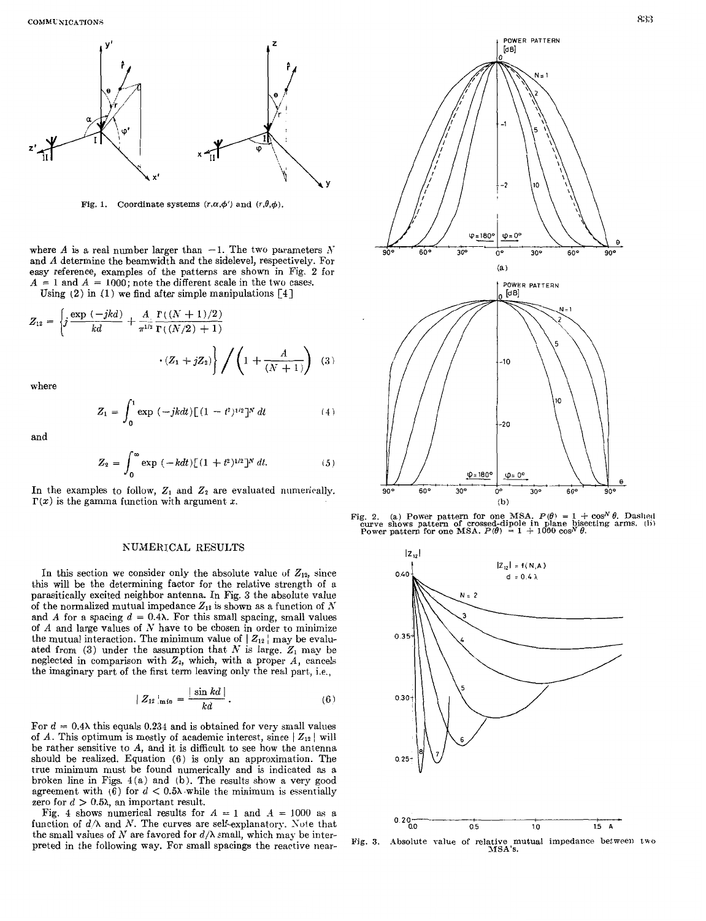

Fig. 1. Coordinate systems  $(r, \alpha, \phi')$  and  $(r, \theta, \phi)$ .

where *A* is a real number larger than  $-1$ . The two parameters *N* and *A* determine the beamwidth and the sidelevel, respectively. For easy reference, examples of the patterns are shown in Fig. 2 for  $A = 1$  and  $A = 1000$ ; note the different scale in the two cases.

Using **(2)** in **(1)** we find after simple manipulations **[4]** 

$$
Z_{12} = \left\{ j \frac{\exp(-jkd)}{kd} + \frac{A}{\pi^{1/2}} \frac{\Gamma((N+1)/2)}{\Gamma((N/2) + 1)} \right\} / \left( 1 + \frac{A}{(N+1)} \right) \tag{3}
$$

where

$$
Z_1 = \int_0^1 \exp\left(-j k dt\right) \left[ (1 - t^2)^{1/2} \right]^N dt \tag{4}
$$

and

$$
Z_2 = \int_0^\infty \exp\left(-kdt\right) \left[ (1+t^2)^{1/2} \right]^N dt. \tag{5}
$$

In the examples to follow,  $Z_1$  and  $Z_2$  are evaluated numerically.  $\Gamma(x)$  is the gamma function with argument *x*.

#### NUMERICAL RESULTS

In this section we consider only the absolute value of  $Z_{12}$ , since this will be the determining factor for the relative strength of a parasitically excited neighbor antenna. In Fig. 3 the absolute value of the normalized mutual impedance  $Z_{12}$  is shown as a function of  $N$ and *A* for a spacing  $d = 0.4\lambda$ . For this small spacing, small values of  $A$  and large values of  $N$  have to be chosen in order to minimize the mutual interaction. The minimum value of  $|Z_{12}|$  may be evaluated from  $(3)$  under the assumption that N is large.  $Z_1$  may be neglected in comparison with  $Z_2$ , which, with a proper  $A$ , cancels the imaginary part of the first term leaving only the real part., i.e.,

$$
|Z_{12}|_{\min} = \frac{|\sin kd|}{kd}.
$$
 (6)

For  $d = 0.4\lambda$  this equals 0.234 and is obtained for very small values of *A*. This optimum is mostly of academic interest, since  $|Z_{12}|$  will be rather sensitive to A, and it is difficult to see how the antenna should be realized. Equation (6) is only an approximation. The true minimum must. be found numerically and is indicated as a broken line in Figs. 4(a) and (b). The results show a very good agreement with (6) for  $d < 0.5\lambda$  while the minimum is essentially zero for  $d > 0.5\lambda$ , an important result.

Fig. 4 shows numerical results for  $A = 1$  and  $A = 1000$  as a function of  $d/\lambda$  and N. The curves are self-explanatory. Note that the small values of N are favored for  $d/\lambda$  small, which may be interpreted in the following way. For small spacings the reactive near-





**Fig. 3.** Absolute value of relative mutual impedance between two MSA's.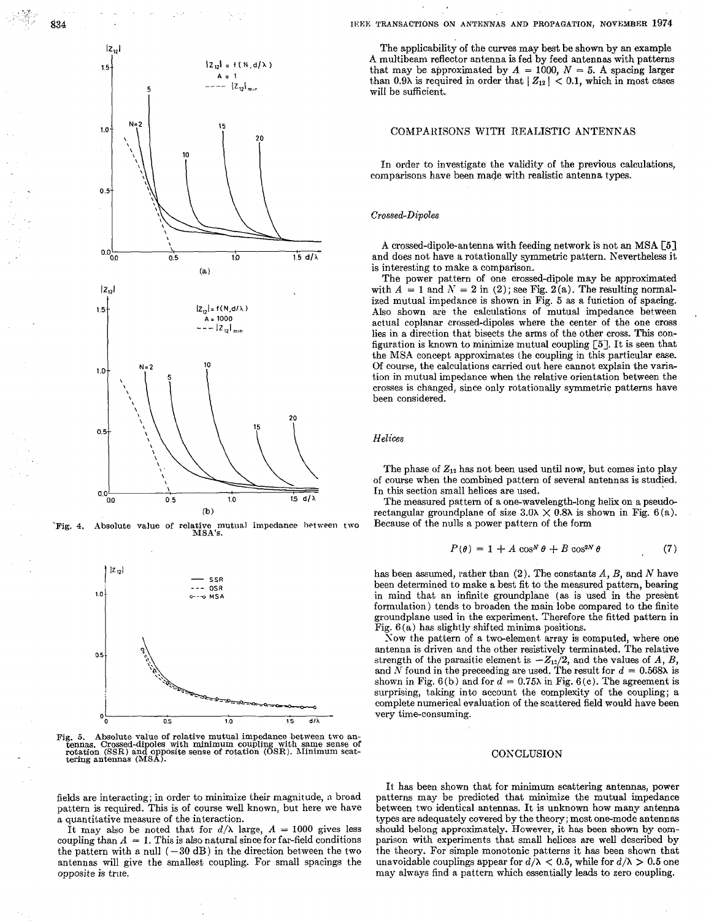

834

Absolute value of relative mutual impedance between two<br>MSA's. Fig. 4.



ig. 5. Absolute value of relative mutual impedance between two antennas. Crossed-dipoles with minimum coupling with same sense of rotation (SSR) and opposite sense of rotation (OSR). Minimum scattering antennas (MSA). Fig.

fields are interacting; in order to minimize their magnitude, a broad pattern is required. This is of course well known, but here we have a quantitative measure of the interaction.

It may also be noted that for  $d/\lambda$  large,  $A = 1000$  gives less coupling than  $A = 1$ . This is also natural since for far-field conditions the pattern with a null  $(-30 \text{ dB})$  in the direction between the two antennas will give the smallest coupling. For small spacings the opposite is true.

# IEEE TRANSACTIONS ON ANTENNAS AND PROPAGATION, NOVEMBER 1974

The applicability of the curves may best be shown by an example A multibeam reflector antenna is fed by feed antennas with patterns that may be approximated by  $A = 1000$ ,  $N = 5$ . A spacing larger than 0.9 $\lambda$  is required in order that  $|Z_{12}| < 0.1$ , which in most cases will be sufficient.

# COMPARISONS WITH REALISTIC ANTENNAS

In order to investigate the validity of the previous calculations, comparisons have been made with realistic antenna types.

# Crossed-Dipoles

A crossed-dipole-antenna with feeding network is not an MSA [5] and does not have a rotationally symmetric pattern. Nevertheless it is interesting to make a comparison.

The power pattern of one crossed-dipole may be approximated with  $A = 1$  and  $N = 2$  in (2); see Fig. 2(a). The resulting normalized mutual impedance is shown in Fig. 5 as a function of spacing. Also shown are the calculations of mutual impedance between actual coplanar crossed-dipoles where the center of the one cross lies in a direction that bisects the arms of the other cross. This configuration is known to minimize mutual coupling  $\lceil 5 \rceil$ . It is seen that the MSA concept approximates the coupling in this particular case. Of course, the calculations carried out here cannot explain the variation in mutual impedance when the relative orientation between the crosses is changed, since only rotationally symmetric patterns have been considered.

### Helices

The phase of  $Z_{12}$  has not been used until now, but comes into play of course when the combined pattern of several antennas is studied. In this section small helices are used.

The measured pattern of a one-wavelength-long helix on a pseudorectangular groundplane of size  $3.0\lambda \times 0.8\lambda$  is shown in Fig. 6(a). Because of the nulls a power pattern of the form

$$
P(\theta) = 1 + A \cos^{N} \theta + B \cos^{2N} \theta \tag{7}
$$

has been assumed, rather than  $(2)$ . The constants  $A, B$ , and  $N$  have been determined to make a best fit to the measured pattern, bearing in mind that an infinite groundplane (as is used in the present formulation) tends to broaden the main lobe compared to the finite groundplane used in the experiment. Therefore the fitted pattern in Fig.  $6(a)$  has slightly shifted minima positions.

Now the pattern of a two-element array is computed, where one antenna is driven and the other resistively terminated. The relative strength of the parasitic element is  $-Z_{12}/2$ , and the values of A, B, and N found in the preceeding are used. The result for  $d = 0.568\lambda$  is shown in Fig. 6(b) and for  $d = 0.75\lambda$  in Fig. 6(c). The agreement is surprising, taking into account the complexity of the coupling; a complete numerical evaluation of the scattered field would have been very time-consuming.

## CONCLUSION

It has been shown that for minimum scattering antennas, power patterns may be predicted that minimize the mutual impedance between two identical antennas. It is unknown how many antenna types are adequately covered by the theory; most one-mode antennas should belong approximately. However, it has been shown by comparison with experiments that small helices are well described by the theory. For simple monotonic patterns it has been shown that unavoidable couplings appear for  $d/\lambda < 0.5$ , while for  $d/\lambda > 0.5$  one may always find a pattern which essentially leads to zero coupling.